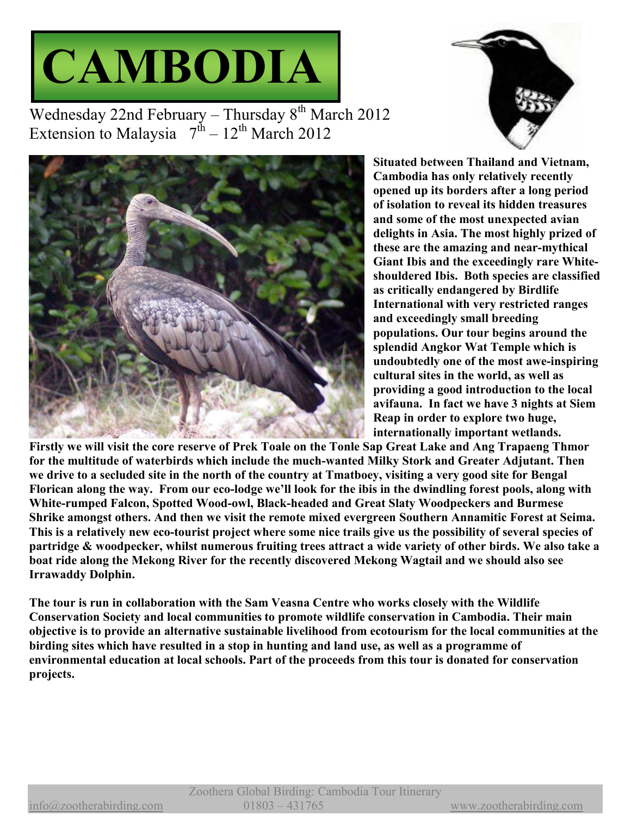



Wednesday 22nd February – Thursday  $8<sup>th</sup>$  March 2012 Extension to Malaysia  $7^{\text{th}} - 12^{\text{th}}$  March 2012



**Situated between Thailand and Vietnam, Cambodia has only relatively recently opened up its borders after a long period of isolation to reveal its hidden treasures and some of the most unexpected avian delights in Asia. The most highly prized of these are the amazing and near-mythical Giant Ibis and the exceedingly rare Whiteshouldered Ibis. Both species are classified as critically endangered by Birdlife International with very restricted ranges and exceedingly small breeding populations. Our tour begins around the splendid Angkor Wat Temple which is undoubtedly one of the most awe-inspiring cultural sites in the world, as well as providing a good introduction to the local avifauna. In fact we have 3 nights at Siem Reap in order to explore two huge, internationally important wetlands.** 

**Firstly we will visit the core reserve of Prek Toale on the Tonle Sap Great Lake and Ang Trapaeng Thmor for the multitude of waterbirds which include the much-wanted Milky Stork and Greater Adjutant. Then we drive to a secluded site in the north of the country at Tmatboey, visiting a very good site for Bengal Florican along the way. From our eco-lodge we'll look for the ibis in the dwindling forest pools, along with White-rumped Falcon, Spotted Wood-owl, Black-headed and Great Slaty Woodpeckers and Burmese Shrike amongst others. And then we visit the remote mixed evergreen Southern Annamitic Forest at Seima. This is a relatively new eco-tourist project where some nice trails give us the possibility of several species of partridge & woodpecker, whilst numerous fruiting trees attract a wide variety of other birds. We also take a boat ride along the Mekong River for the recently discovered Mekong Wagtail and we should also see Irrawaddy Dolphin.** 

**The tour is run in collaboration with the Sam Veasna Centre who works closely with the Wildlife Conservation Society and local communities to promote wildlife conservation in Cambodia. Their main objective is to provide an alternative sustainable livelihood from ecotourism for the local communities at the birding sites which have resulted in a stop in hunting and land use, as well as a programme of environmental education at local schools. Part of the proceeds from this tour is donated for conservation projects.**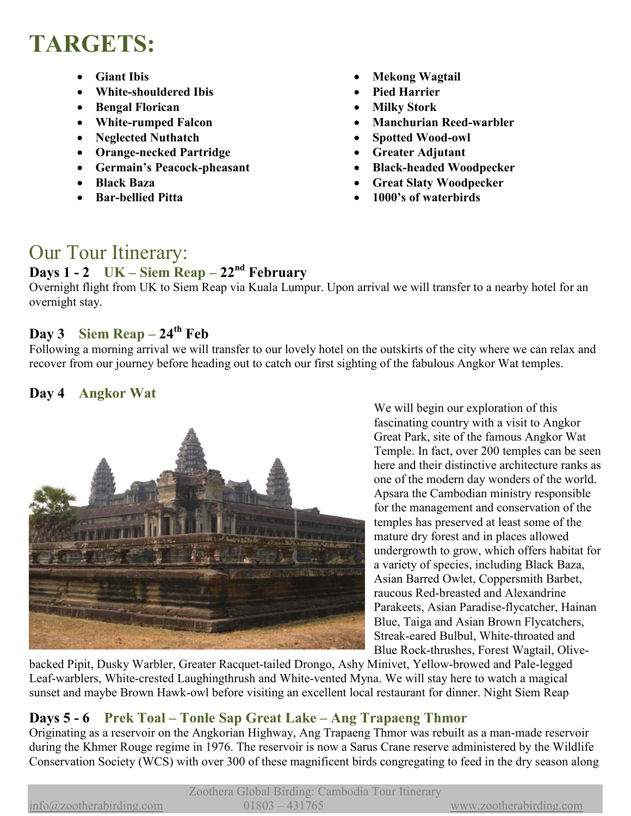# **TARGETS:**

- **Giant Ibis**
- **White-shouldered Ibis**
- **Bengal Florican**
- **White-rumped Falcon**
- **Neglected Nuthatch**
- **Orange-necked Partridge**
- **Germain's Peacock-pheasant**
- **Black Baza**
- **Bar-bellied Pitta**
- **Mekong Wagtail**
- **Pied Harrier**
- **Milky Stork**
- **Manchurian Reed-warbler**
- **Spotted Wood-owl**
- **Greater Adjutant**
- **Black-headed Woodpecker**
- **Great Slaty Woodpecker**
- **1000's of waterbirds**

## Our Tour Itinerary:

#### **Days 1 - 2 UK – Siem Reap – 22nd February**

Overnight flight from UK to Siem Reap via Kuala Lumpur. Upon arrival we will transfer to a nearby hotel for an overnight stay.

### **Day 3** Siem Reap –  $24^{\text{th}}$  Feb

Following a morning arrival we will transfer to our lovely hotel on the outskirts of the city where we can relax and recover from our journey before heading out to catch our first sighting of the fabulous Angkor Wat temples.

#### **Day 4 Angkor Wat**



We will begin our exploration of this fascinating country with a visit to Angkor Great Park, site of the famous Angkor Wat Temple. In fact, over 200 temples can be seen here and their distinctive architecture ranks as one of the modern day wonders of the world. Apsara the Cambodian ministry responsible for the management and conservation of the temples has preserved at least some of the mature dry forest and in places allowed undergrowth to grow, which offers habitat for a variety of species, including Black Baza, Asian Barred Owlet, Coppersmith Barbet, raucous Red-breasted and Alexandrine Parakeets, Asian Paradise-flycatcher, Hainan Blue, Taiga and Asian Brown Flycatchers, Streak-eared Bulbul, White-throated and Blue Rock-thrushes, Forest Wagtail, Olive-

backed Pipit, Dusky Warbler, Greater Racquet-tailed Drongo, Ashy Minivet, Yellow-browed and Pale-legged Leaf-warblers, White-crested Laughingthrush and White-vented Myna. We will stay here to watch a magical sunset and maybe Brown Hawk-owl before visiting an excellent local restaurant for dinner. Night Siem Reap

### **Days 5 - 6 Prek Toal – Tonle Sap Great Lake – Ang Trapaeng Thmor**

Originating as a reservoir on the Angkorian Highway, Ang Trapaeng Thmor was rebuilt as a man-made reservoir during the Khmer Rouge regime in 1976. The reservoir is now a Sarus Crane reserve administered by the Wildlife Conservation Society (WCS) with over 300 of these magnificent birds congregating to feed in the dry season along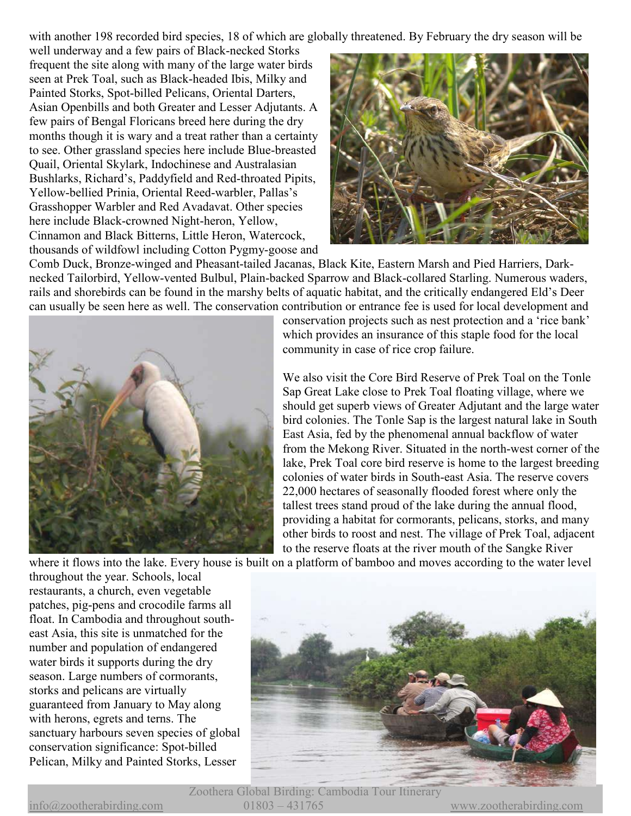with another 198 recorded bird species, 18 of which are globally threatened. By February the dry season will be

well underway and a few pairs of Black-necked Storks frequent the site along with many of the large water birds seen at Prek Toal, such as Black-headed Ibis, Milky and Painted Storks, Spot-billed Pelicans, Oriental Darters, Asian Openbills and both Greater and Lesser Adjutants. A few pairs of Bengal Floricans breed here during the dry months though it is wary and a treat rather than a certainty to see. Other grassland species here include Blue-breasted Quail, Oriental Skylark, Indochinese and Australasian Bushlarks, Richard's, Paddyfield and Red-throated Pipits, Yellow-bellied Prinia, Oriental Reed-warbler, Pallas's Grasshopper Warbler and Red Avadavat. Other species here include Black-crowned Night-heron, Yellow, Cinnamon and Black Bitterns, Little Heron, Watercock, thousands of wildfowl including Cotton Pygmy-goose and



Comb Duck, Bronze-winged and Pheasant-tailed Jacanas, Black Kite, Eastern Marsh and Pied Harriers, Darknecked Tailorbird, Yellow-vented Bulbul, Plain-backed Sparrow and Black-collared Starling. Numerous waders, rails and shorebirds can be found in the marshy belts of aquatic habitat, and the critically endangered Eld's Deer can usually be seen here as well. The conservation contribution or entrance fee is used for local development and



conservation projects such as nest protection and a 'rice bank' which provides an insurance of this staple food for the local community in case of rice crop failure.

We also visit the Core Bird Reserve of Prek Toal on the Tonle Sap Great Lake close to Prek Toal floating village, where we should get superb views of Greater Adjutant and the large water bird colonies. The Tonle Sap is the largest natural lake in South East Asia, fed by the phenomenal annual backflow of water from the Mekong River. Situated in the north-west corner of the lake, Prek Toal core bird reserve is home to the largest breeding colonies of water birds in South-east Asia. The reserve covers 22,000 hectares of seasonally flooded forest where only the tallest trees stand proud of the lake during the annual flood, providing a habitat for cormorants, pelicans, storks, and many other birds to roost and nest. The village of Prek Toal, adjacent to the reserve floats at the river mouth of the Sangke River

where it flows into the lake. Every house is built on a platform of bamboo and moves according to the water level

throughout the year. Schools, local restaurants, a church, even vegetable patches, pig-pens and crocodile farms all float. In Cambodia and throughout southeast Asia, this site is unmatched for the number and population of endangered water birds it supports during the dry season. Large numbers of cormorants, storks and pelicans are virtually guaranteed from January to May along with herons, egrets and terns. The sanctuary harbours seven species of global conservation significance: Spot-billed Pelican, Milky and Painted Storks, Lesser



Zoothera Global Birding: Cambodia Tour Itinerary info@zootherabirding.com 01803 – 431765 www.zootherabirding.com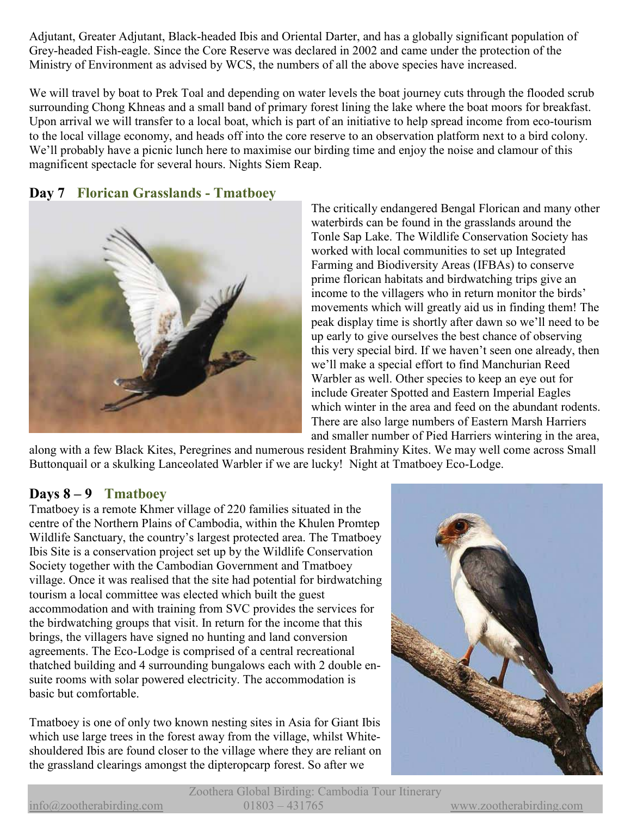Adjutant, Greater Adjutant, Black-headed Ibis and Oriental Darter, and has a globally significant population of Grey-headed Fish-eagle. Since the Core Reserve was declared in 2002 and came under the protection of the Ministry of Environment as advised by WCS, the numbers of all the above species have increased.

We will travel by boat to Prek Toal and depending on water levels the boat journey cuts through the flooded scrub surrounding Chong Khneas and a small band of primary forest lining the lake where the boat moors for breakfast. Upon arrival we will transfer to a local boat, which is part of an initiative to help spread income from eco-tourism to the local village economy, and heads off into the core reserve to an observation platform next to a bird colony. We'll probably have a picnic lunch here to maximise our birding time and enjoy the noise and clamour of this magnificent spectacle for several hours. Nights Siem Reap.

#### **Day 7 Florican Grasslands - Tmatboey**



The critically endangered Bengal Florican and many other waterbirds can be found in the grasslands around the Tonle Sap Lake. The Wildlife Conservation Society has worked with local communities to set up Integrated Farming and Biodiversity Areas (IFBAs) to conserve prime florican habitats and birdwatching trips give an income to the villagers who in return monitor the birds' movements which will greatly aid us in finding them! The peak display time is shortly after dawn so we'll need to be up early to give ourselves the best chance of observing this very special bird. If we haven't seen one already, then we'll make a special effort to find Manchurian Reed Warbler as well. Other species to keep an eye out for include Greater Spotted and Eastern Imperial Eagles which winter in the area and feed on the abundant rodents. There are also large numbers of Eastern Marsh Harriers and smaller number of Pied Harriers wintering in the area,

along with a few Black Kites, Peregrines and numerous resident Brahminy Kites. We may well come across Small Buttonquail or a skulking Lanceolated Warbler if we are lucky! Night at Tmatboey Eco-Lodge.

#### **Days 8 – 9 Tmatboey**

Tmatboey is a remote Khmer village of 220 families situated in the centre of the Northern Plains of Cambodia, within the Khulen Promtep Wildlife Sanctuary, the country's largest protected area. The Tmatboey Ibis Site is a conservation project set up by the Wildlife Conservation Society together with the Cambodian Government and Tmatboey village. Once it was realised that the site had potential for birdwatching tourism a local committee was elected which built the guest accommodation and with training from SVC provides the services for the birdwatching groups that visit. In return for the income that this brings, the villagers have signed no hunting and land conversion agreements. The Eco-Lodge is comprised of a central recreational thatched building and 4 surrounding bungalows each with 2 double ensuite rooms with solar powered electricity. The accommodation is basic but comfortable.

Tmatboey is one of only two known nesting sites in Asia for Giant Ibis which use large trees in the forest away from the village, whilst Whiteshouldered Ibis are found closer to the village where they are reliant on the grassland clearings amongst the dipteropcarp forest. So after we



Zoothera Global Birding: Cambodia Tour Itinerary info@zootherabirding.com 01803 – 431765 www.zootherabirding.com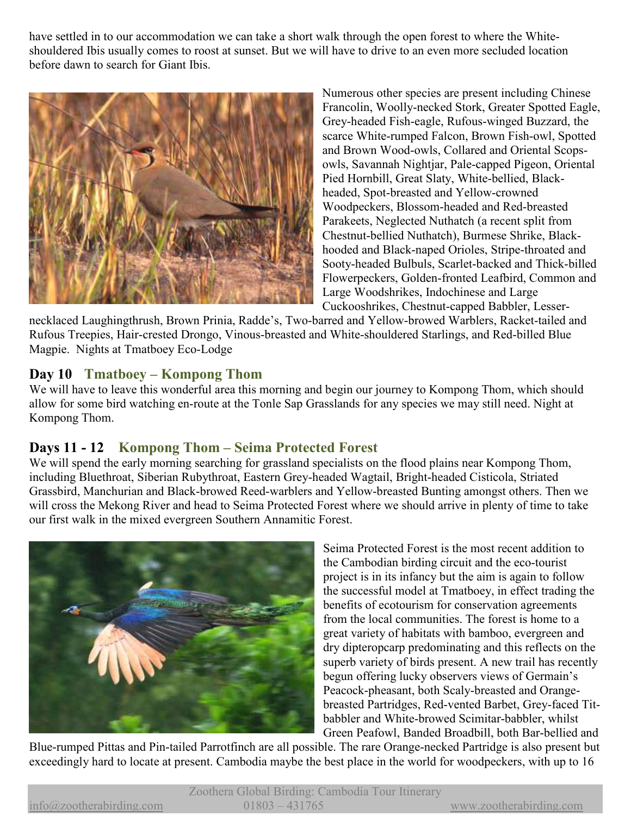have settled in to our accommodation we can take a short walk through the open forest to where the Whiteshouldered Ibis usually comes to roost at sunset. But we will have to drive to an even more secluded location before dawn to search for Giant Ibis.



Numerous other species are present including Chinese Francolin, Woolly-necked Stork, Greater Spotted Eagle, Grey-headed Fish-eagle, Rufous-winged Buzzard, the scarce White-rumped Falcon, Brown Fish-owl, Spotted and Brown Wood-owls, Collared and Oriental Scopsowls, Savannah Nightjar, Pale-capped Pigeon, Oriental Pied Hornbill, Great Slaty, White-bellied, Blackheaded, Spot-breasted and Yellow-crowned Woodpeckers, Blossom-headed and Red-breasted Parakeets, Neglected Nuthatch (a recent split from Chestnut-bellied Nuthatch), Burmese Shrike, Blackhooded and Black-naped Orioles, Stripe-throated and Sooty-headed Bulbuls, Scarlet-backed and Thick-billed Flowerpeckers, Golden-fronted Leafbird, Common and Large Woodshrikes, Indochinese and Large Cuckooshrikes, Chestnut-capped Babbler, Lesser-

necklaced Laughingthrush, Brown Prinia, Radde's, Two-barred and Yellow-browed Warblers, Racket-tailed and Rufous Treepies, Hair-crested Drongo, Vinous-breasted and White-shouldered Starlings, and Red-billed Blue Magpie. Nights at Tmatboey Eco-Lodge

#### **Day 10 Tmatboey – Kompong Thom**

We will have to leave this wonderful area this morning and begin our journey to Kompong Thom, which should allow for some bird watching en-route at the Tonle Sap Grasslands for any species we may still need. Night at Kompong Thom.

#### **Days 11 - 12 Kompong Thom – Seima Protected Forest**

We will spend the early morning searching for grassland specialists on the flood plains near Kompong Thom, including Bluethroat, Siberian Rubythroat, Eastern Grey-headed Wagtail, Bright-headed Cisticola, Striated Grassbird, Manchurian and Black-browed Reed-warblers and Yellow-breasted Bunting amongst others. Then we will cross the Mekong River and head to Seima Protected Forest where we should arrive in plenty of time to take our first walk in the mixed evergreen Southern Annamitic Forest.



Seima Protected Forest is the most recent addition to the Cambodian birding circuit and the eco-tourist project is in its infancy but the aim is again to follow the successful model at Tmatboey, in effect trading the benefits of ecotourism for conservation agreements from the local communities. The forest is home to a great variety of habitats with bamboo, evergreen and dry dipteropcarp predominating and this reflects on the superb variety of birds present. A new trail has recently begun offering lucky observers views of Germain's Peacock-pheasant, both Scaly-breasted and Orangebreasted Partridges, Red-vented Barbet, Grey-faced Titbabbler and White-browed Scimitar-babbler, whilst Green Peafowl, Banded Broadbill, both Bar-bellied and

Blue-rumped Pittas and Pin-tailed Parrotfinch are all possible. The rare Orange-necked Partridge is also present but exceedingly hard to locate at present. Cambodia maybe the best place in the world for woodpeckers, with up to 16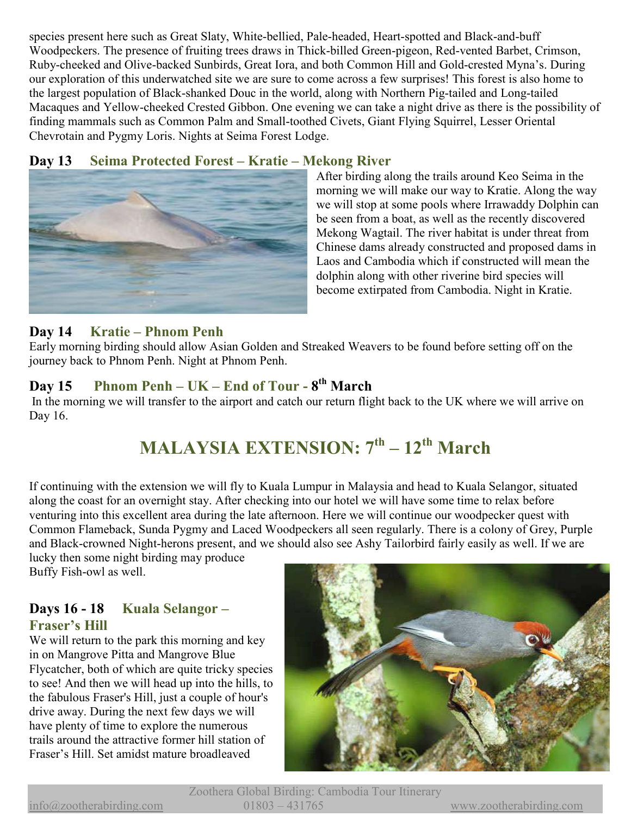species present here such as Great Slaty, White-bellied, Pale-headed, Heart-spotted and Black-and-buff Woodpeckers. The presence of fruiting trees draws in Thick-billed Green-pigeon, Red-vented Barbet, Crimson, Ruby-cheeked and Olive-backed Sunbirds, Great Iora, and both Common Hill and Gold-crested Myna's. During our exploration of this underwatched site we are sure to come across a few surprises! This forest is also home to the largest population of Black-shanked Douc in the world, along with Northern Pig-tailed and Long-tailed Macaques and Yellow-cheeked Crested Gibbon. One evening we can take a night drive as there is the possibility of finding mammals such as Common Palm and Small-toothed Civets, Giant Flying Squirrel, Lesser Oriental Chevrotain and Pygmy Loris. Nights at Seima Forest Lodge.

#### **Day 13 Seima Protected Forest – Kratie – Mekong River**



After birding along the trails around Keo Seima in the morning we will make our way to Kratie. Along the way we will stop at some pools where Irrawaddy Dolphin can be seen from a boat, as well as the recently discovered Mekong Wagtail. The river habitat is under threat from Chinese dams already constructed and proposed dams in Laos and Cambodia which if constructed will mean the dolphin along with other riverine bird species will become extirpated from Cambodia. Night in Kratie.

#### **Day 14 Kratie – Phnom Penh**

Early morning birding should allow Asian Golden and Streaked Weavers to be found before setting off on the journey back to Phnom Penh. Night at Phnom Penh.

## **Day 15 Phnom Penh – UK – End of Tour - 8th March**

In the morning we will transfer to the airport and catch our return flight back to the UK where we will arrive on Day 16.

## **MALAYSIA EXTENSION: 7th – 12th March**

If continuing with the extension we will fly to Kuala Lumpur in Malaysia and head to Kuala Selangor, situated along the coast for an overnight stay. After checking into our hotel we will have some time to relax before venturing into this excellent area during the late afternoon. Here we will continue our woodpecker quest with Common Flameback, Sunda Pygmy and Laced Woodpeckers all seen regularly. There is a colony of Grey, Purple and Black-crowned Night-herons present, and we should also see Ashy Tailorbird fairly easily as well. If we are

lucky then some night birding may produce Buffy Fish-owl as well.

#### **Days 16 - 18 Kuala Selangor – Fraser's Hill**

We will return to the park this morning and key in on Mangrove Pitta and Mangrove Blue Flycatcher, both of which are quite tricky species to see! And then we will head up into the hills, to the fabulous Fraser's Hill, just a couple of hour's drive away. During the next few days we will have plenty of time to explore the numerous trails around the attractive former hill station of Fraser's Hill. Set amidst mature broadleaved

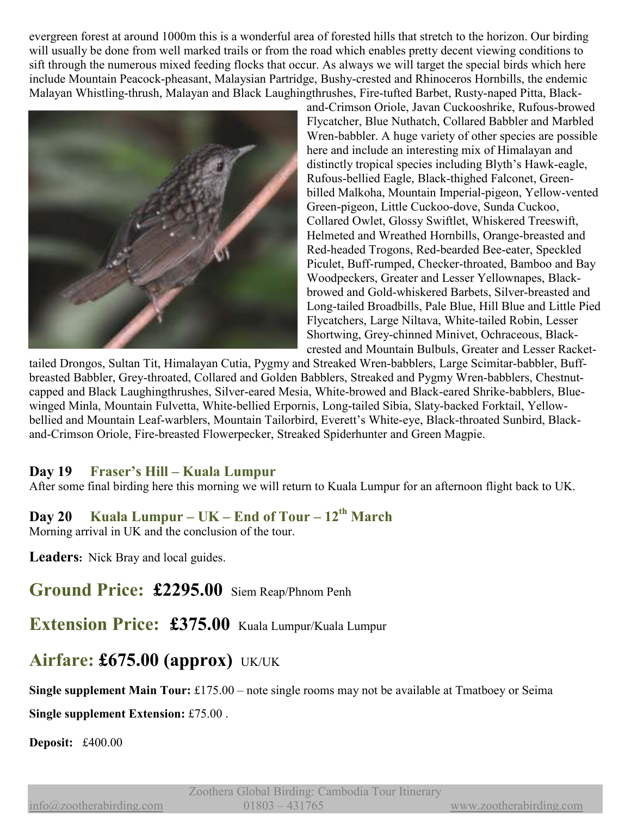evergreen forest at around 1000m this is a wonderful area of forested hills that stretch to the horizon. Our birding will usually be done from well marked trails or from the road which enables pretty decent viewing conditions to sift through the numerous mixed feeding flocks that occur. As always we will target the special birds which here include Mountain Peacock-pheasant, Malaysian Partridge, Bushy-crested and Rhinoceros Hornbills, the endemic Malayan Whistling-thrush, Malayan and Black Laughingthrushes, Fire-tufted Barbet, Rusty-naped Pitta, Black-



and-Crimson Oriole, Javan Cuckooshrike, Rufous-browed Flycatcher, Blue Nuthatch, Collared Babbler and Marbled Wren-babbler. A huge variety of other species are possible here and include an interesting mix of Himalayan and distinctly tropical species including Blyth's Hawk-eagle, Rufous-bellied Eagle, Black-thighed Falconet, Greenbilled Malkoha, Mountain Imperial-pigeon, Yellow-vented Green-pigeon, Little Cuckoo-dove, Sunda Cuckoo, Collared Owlet, Glossy Swiftlet, Whiskered Treeswift, Helmeted and Wreathed Hornbills, Orange-breasted and Red-headed Trogons, Red-bearded Bee-eater, Speckled Piculet, Buff-rumped, Checker-throated, Bamboo and Bay Woodpeckers, Greater and Lesser Yellownapes, Blackbrowed and Gold-whiskered Barbets, Silver-breasted and Long-tailed Broadbills, Pale Blue, Hill Blue and Little Pied Flycatchers, Large Niltava, White-tailed Robin, Lesser Shortwing, Grey-chinned Minivet, Ochraceous, Blackcrested and Mountain Bulbuls, Greater and Lesser Racket-

tailed Drongos, Sultan Tit, Himalayan Cutia, Pygmy and Streaked Wren-babblers, Large Scimitar-babbler, Buffbreasted Babbler, Grey-throated, Collared and Golden Babblers, Streaked and Pygmy Wren-babblers, Chestnutcapped and Black Laughingthrushes, Silver-eared Mesia, White-browed and Black-eared Shrike-babblers, Bluewinged Minla, Mountain Fulvetta, White-bellied Erpornis, Long-tailed Sibia, Slaty-backed Forktail, Yellowbellied and Mountain Leaf-warblers, Mountain Tailorbird, Everett's White-eye, Black-throated Sunbird, Blackand-Crimson Oriole, Fire-breasted Flowerpecker, Streaked Spiderhunter and Green Magpie.

#### **Day 19 Fraser's Hill – Kuala Lumpur**

After some final birding here this morning we will return to Kuala Lumpur for an afternoon flight back to UK.

## **Day 20 Kuala Lumpur – UK – End of Tour – 12th March**

Morning arrival in UK and the conclusion of the tour.

**Leaders:** Nick Bray and local guides.

**Ground Price: £2295.00** Siem Reap/Phnom Penh

**Extension Price: £375.00** Kuala Lumpur/Kuala Lumpur

## **Airfare: £675.00 (approx)** UK/UK

**Single supplement Main Tour:** £175.00 – note single rooms may not be available at Tmatboey or Seima

**Single supplement Extension:** £75.00 .

**Deposit:** £400.00